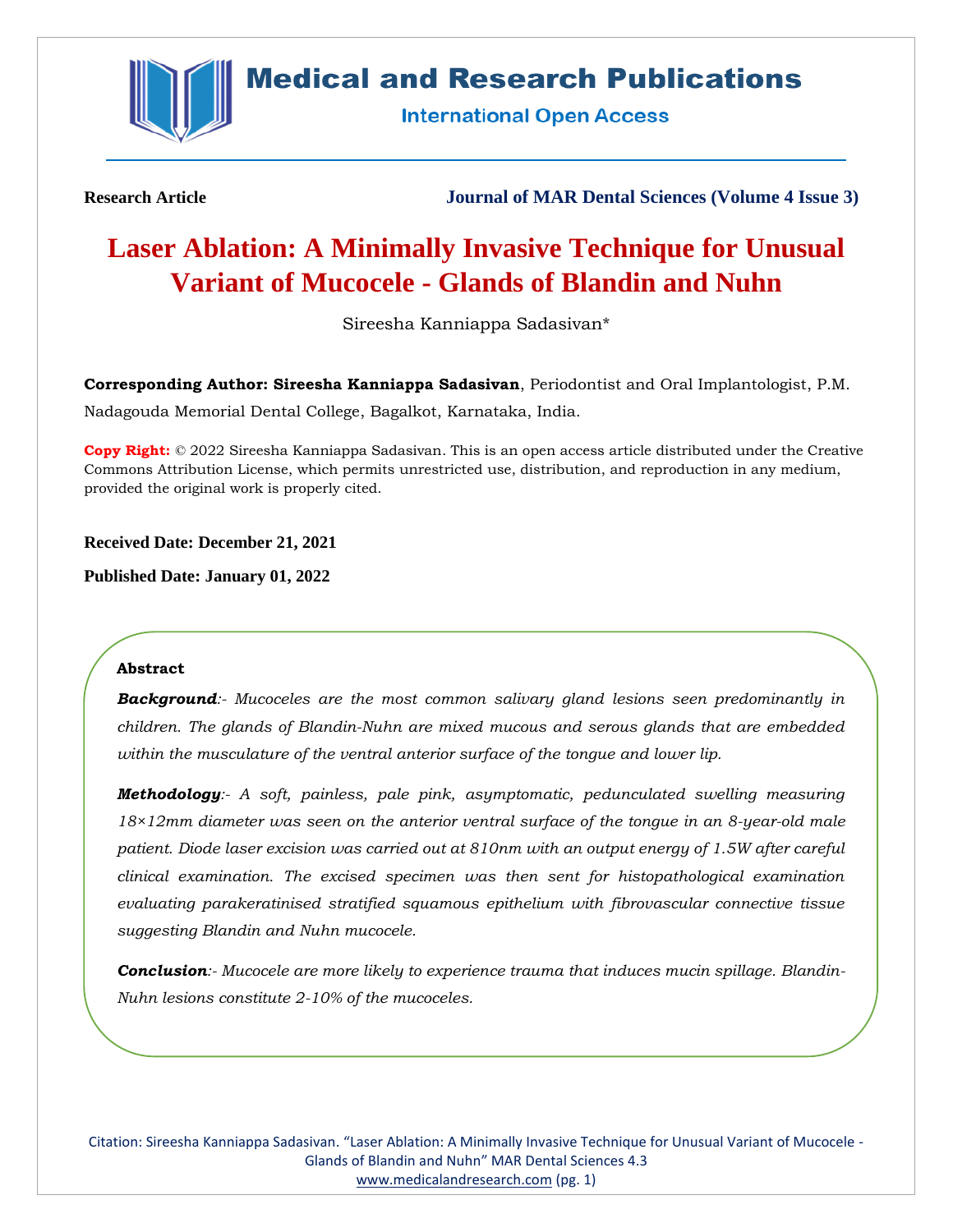

## **Medical and Research Publications**

**International Open Access** 

**Research Article Journal of MAR Dental Sciences (Volume 4 Issue 3)**

# **Laser Ablation: A Minimally Invasive Technique for Unusual Variant of Mucocele - Glands of Blandin and Nuhn**

Sireesha Kanniappa Sadasivan\*

**Corresponding Author: Sireesha Kanniappa Sadasivan**, Periodontist and Oral Implantologist, P.M. Nadagouda Memorial Dental College, Bagalkot, Karnataka, India.

**Copy Right:** © 2022 Sireesha Kanniappa Sadasivan. This is an open access article distributed under the Creative Commons Attribution License, which permits unrestricted use, distribution, and reproduction in any medium, provided the original work is properly cited.

**Received Date: December 21, 2021**

**Published Date: January 01, 2022**

#### **Abstract**

*Background:- Mucoceles are the most common salivary gland lesions seen predominantly in children. The glands of Blandin-Nuhn are mixed mucous and serous glands that are embedded within the musculature of the ventral anterior surface of the tongue and lower lip.*

*Methodology:- A soft, painless, pale pink, asymptomatic, pedunculated swelling measuring 18×12mm diameter was seen on the anterior ventral surface of the tongue in an 8-year-old male patient. Diode laser excision was carried out at 810nm with an output energy of 1.5W after careful clinical examination. The excised specimen was then sent for histopathological examination evaluating parakeratinised stratified squamous epithelium with fibrovascular connective tissue suggesting Blandin and Nuhn mucocele.*

*Conclusion:- Mucocele are more likely to experience trauma that induces mucin spillage. Blandin-Nuhn lesions constitute 2-10% of the mucoceles.*

Citation: Sireesha Kanniappa Sadasivan. "Laser Ablation: A Minimally Invasive Technique for Unusual Variant of Mucocele - Glands of Blandin and Nuhn" MAR Dental Sciences 4.3 [www.medicalandresearch.com](http://www.medicalandresearch.com/) (pg. 1)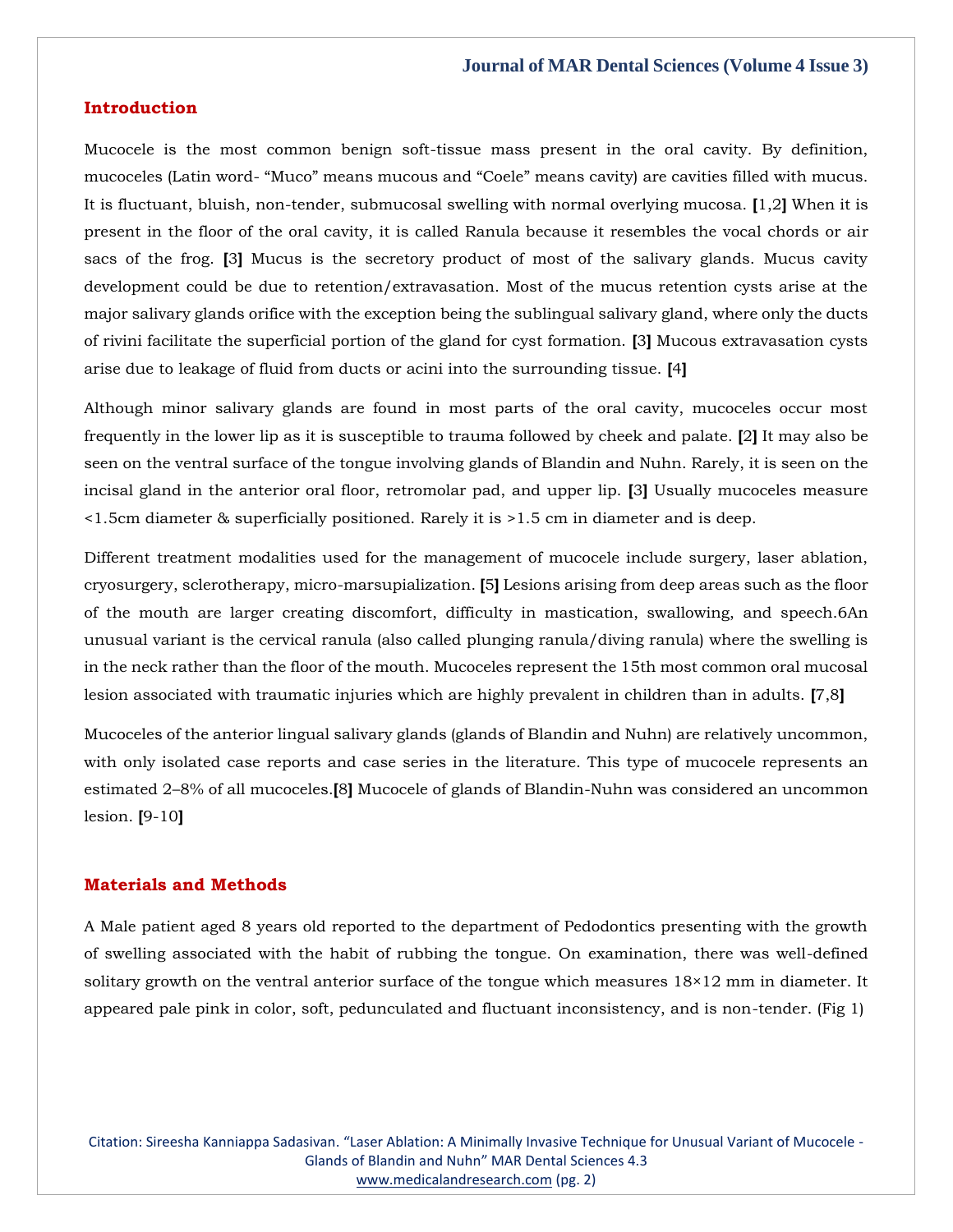#### **Introduction**

Mucocele is the most common benign soft-tissue mass present in the oral cavity. By definition, mucoceles (Latin word- "Muco" means mucous and "Coele" means cavity) are cavities filled with mucus. It is fluctuant, bluish, non-tender, submucosal swelling with normal overlying mucosa. **[**1,2**]** When it is present in the floor of the oral cavity, it is called Ranula because it resembles the vocal chords or air sacs of the frog. **[**3**]** Mucus is the secretory product of most of the salivary glands. Mucus cavity development could be due to retention/extravasation. Most of the mucus retention cysts arise at the major salivary glands orifice with the exception being the sublingual salivary gland, where only the ducts of rivini facilitate the superficial portion of the gland for cyst formation. **[**3**]** Mucous extravasation cysts arise due to leakage of fluid from ducts or acini into the surrounding tissue. **[**4**]**

Although minor salivary glands are found in most parts of the oral cavity, mucoceles occur most frequently in the lower lip as it is susceptible to trauma followed by cheek and palate. **[**2**]** It may also be seen on the ventral surface of the tongue involving glands of Blandin and Nuhn. Rarely, it is seen on the incisal gland in the anterior oral floor, retromolar pad, and upper lip. **[**3**]** Usually mucoceles measure <1.5cm diameter & superficially positioned. Rarely it is >1.5 cm in diameter and is deep.

Different treatment modalities used for the management of mucocele include surgery, laser ablation, cryosurgery, sclerotherapy, micro-marsupialization. **[**5**]** Lesions arising from deep areas such as the floor of the mouth are larger creating discomfort, difficulty in mastication, swallowing, and speech.6An unusual variant is the cervical ranula (also called plunging ranula/diving ranula) where the swelling is in the neck rather than the floor of the mouth. Mucoceles represent the 15th most common oral mucosal lesion associated with traumatic injuries which are highly prevalent in children than in adults. **[**7,8**]**

Mucoceles of the anterior lingual salivary glands (glands of Blandin and Nuhn) are relatively uncommon, with only isolated case reports and case series in the literature. This type of mucocele represents an estimated 2–8% of all mucoceles.**[**8**]** Mucocele of glands of Blandin-Nuhn was considered an uncommon lesion. **[**9-10**]**

#### **Materials and Methods**

A Male patient aged 8 years old reported to the department of Pedodontics presenting with the growth of swelling associated with the habit of rubbing the tongue. On examination, there was well-defined solitary growth on the ventral anterior surface of the tongue which measures 18×12 mm in diameter. It appeared pale pink in color, soft, pedunculated and fluctuant inconsistency, and is non-tender. (Fig 1)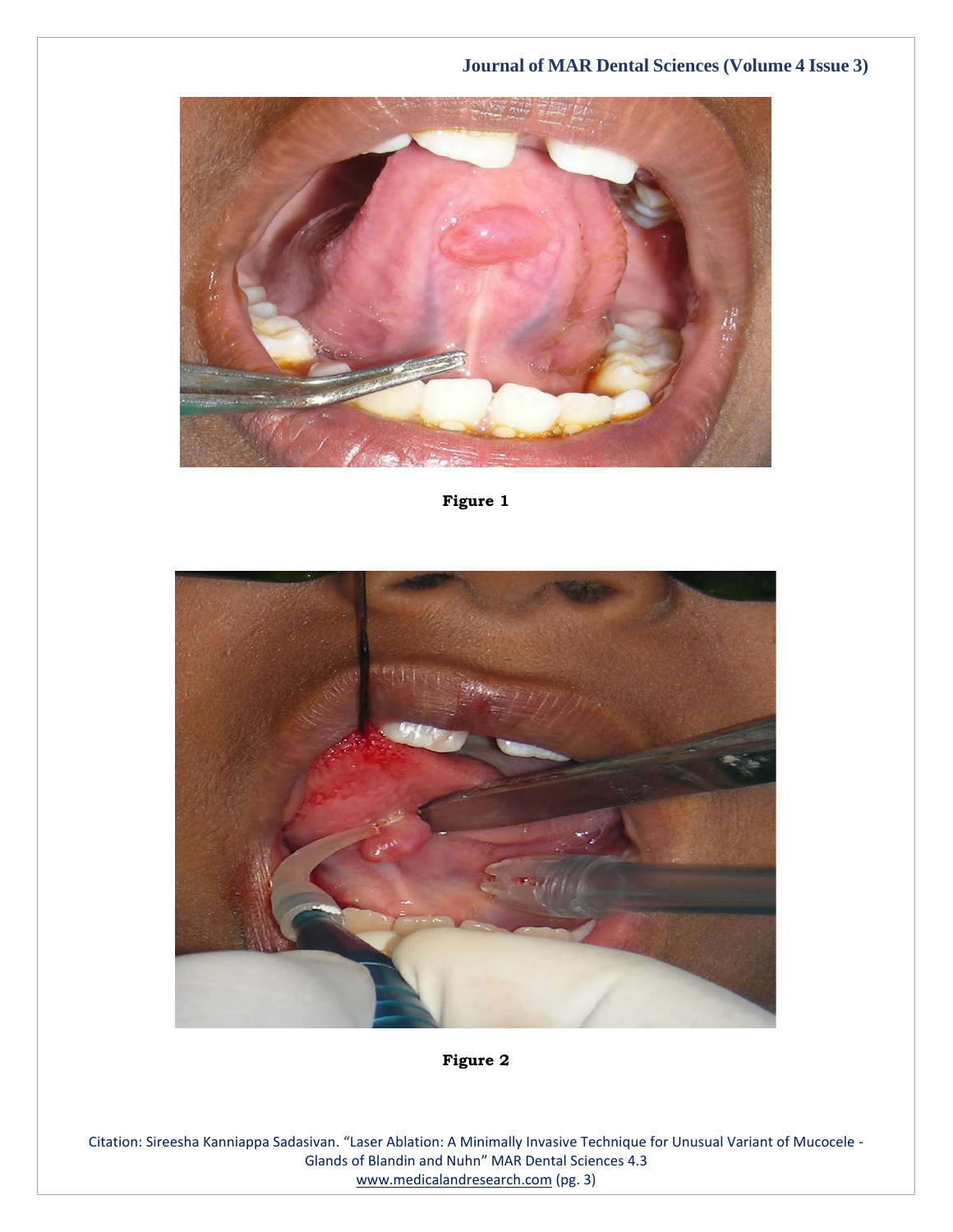

**Figure 1**



**Figure 2**

Citation: Sireesha Kanniappa Sadasivan. "Laser Ablation: A Minimally Invasive Technique for Unusual Variant of Mucocele - Glands of Blandin and Nuhn" MAR Dental Sciences 4.3 [www.medicalandresearch.com](http://www.medicalandresearch.com/) (pg. 3)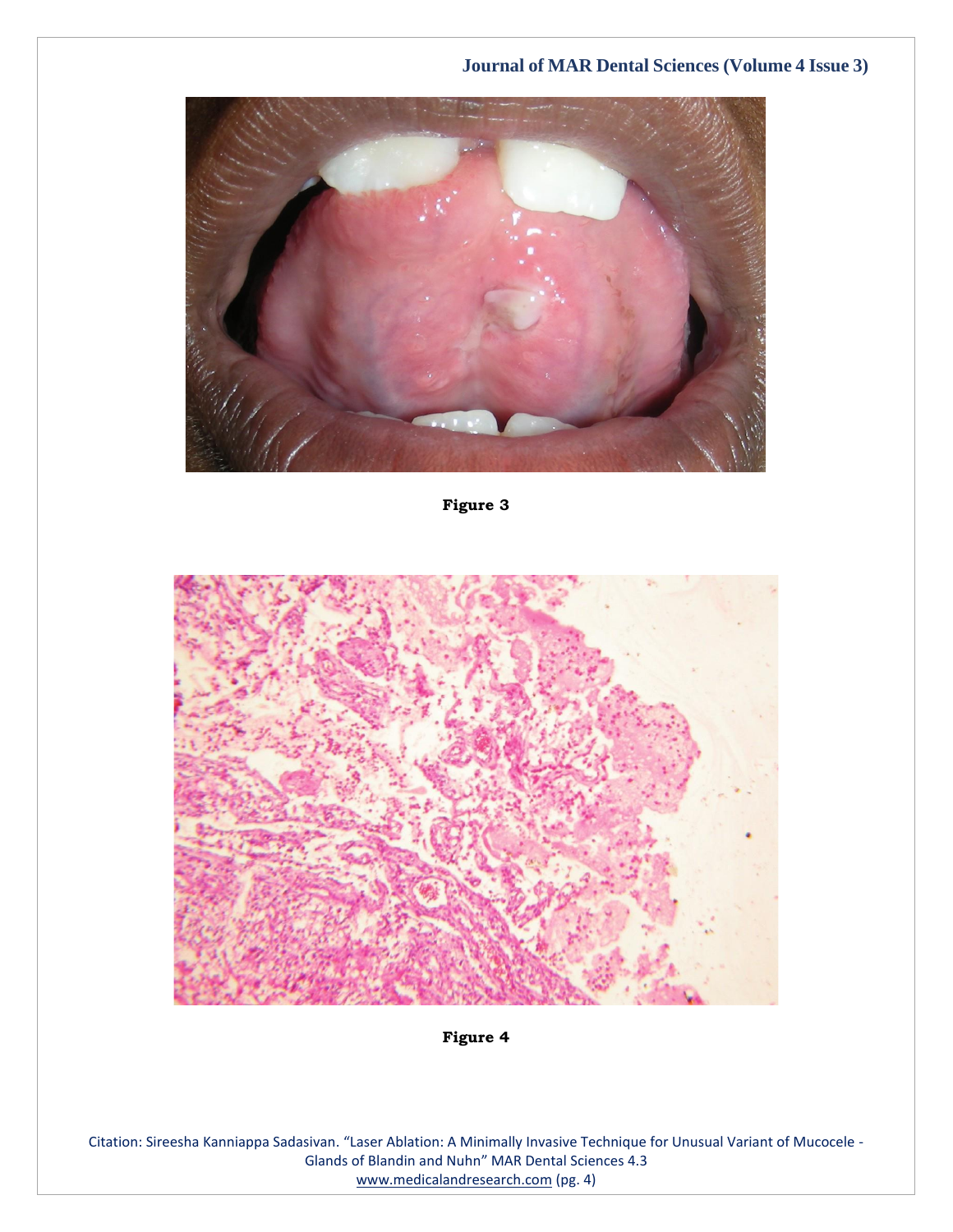

**Figure 3**



**Figure 4**

Citation: Sireesha Kanniappa Sadasivan. "Laser Ablation: A Minimally Invasive Technique for Unusual Variant of Mucocele - Glands of Blandin and Nuhn" MAR Dental Sciences 4.3 [www.medicalandresearch.com](http://www.medicalandresearch.com/) (pg. 4)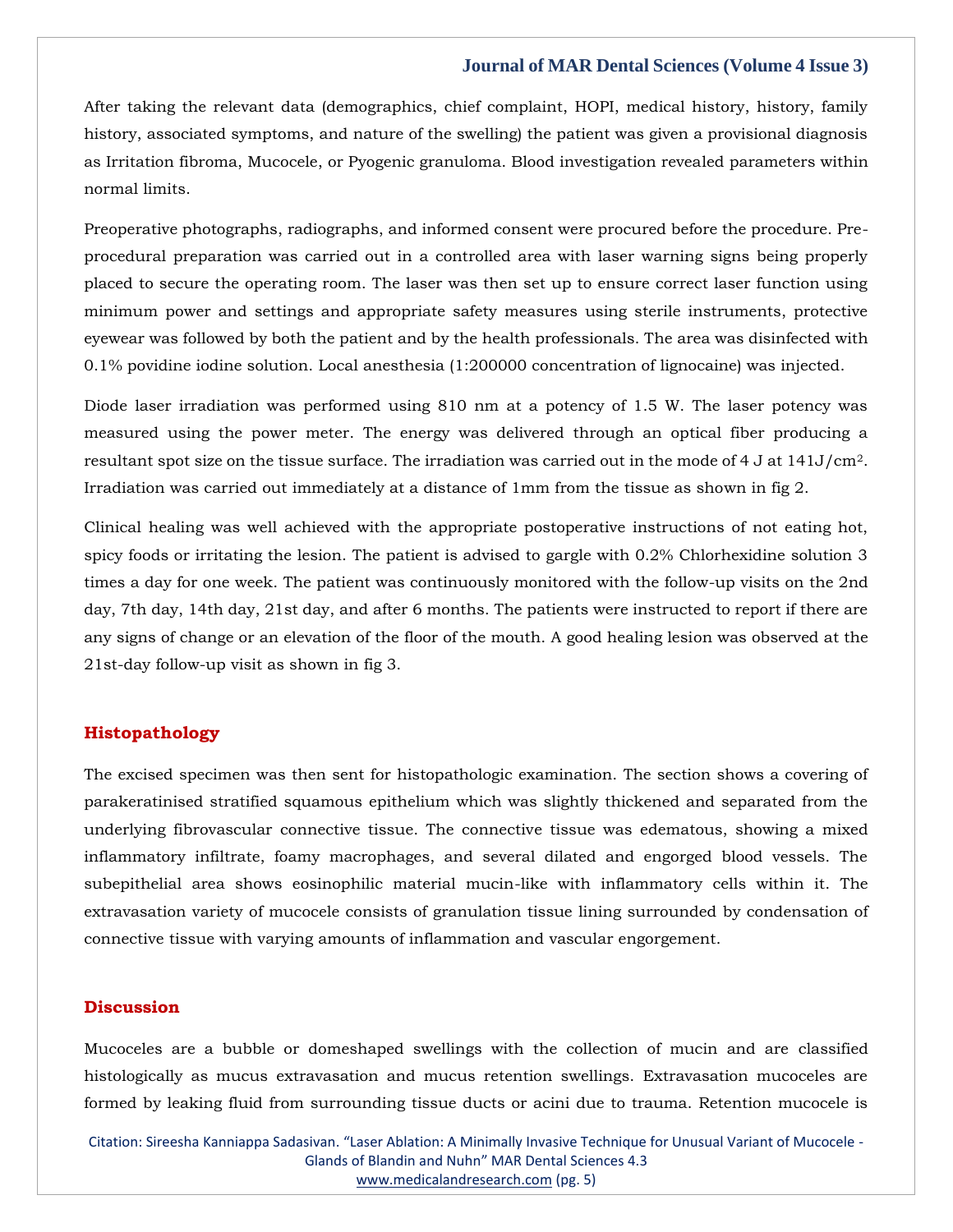After taking the relevant data (demographics, chief complaint, HOPI, medical history, history, family history, associated symptoms, and nature of the swelling) the patient was given a provisional diagnosis as Irritation fibroma, Mucocele, or Pyogenic granuloma. Blood investigation revealed parameters within normal limits.

Preoperative photographs, radiographs, and informed consent were procured before the procedure. Preprocedural preparation was carried out in a controlled area with laser warning signs being properly placed to secure the operating room. The laser was then set up to ensure correct laser function using minimum power and settings and appropriate safety measures using sterile instruments, protective eyewear was followed by both the patient and by the health professionals. The area was disinfected with 0.1% povidine iodine solution. Local anesthesia (1:200000 concentration of lignocaine) was injected.

Diode laser irradiation was performed using 810 nm at a potency of 1.5 W. The laser potency was measured using the power meter. The energy was delivered through an optical fiber producing a resultant spot size on the tissue surface. The irradiation was carried out in the mode of 4 J at 141J/cm2. Irradiation was carried out immediately at a distance of 1mm from the tissue as shown in fig 2.

Clinical healing was well achieved with the appropriate postoperative instructions of not eating hot, spicy foods or irritating the lesion. The patient is advised to gargle with 0.2% Chlorhexidine solution 3 times a day for one week. The patient was continuously monitored with the follow-up visits on the 2nd day, 7th day, 14th day, 21st day, and after 6 months. The patients were instructed to report if there are any signs of change or an elevation of the floor of the mouth. A good healing lesion was observed at the 21st-day follow-up visit as shown in fig 3.

#### **Histopathology**

The excised specimen was then sent for histopathologic examination. The section shows a covering of parakeratinised stratified squamous epithelium which was slightly thickened and separated from the underlying fibrovascular connective tissue. The connective tissue was edematous, showing a mixed inflammatory infiltrate, foamy macrophages, and several dilated and engorged blood vessels. The subepithelial area shows eosinophilic material mucin-like with inflammatory cells within it. The extravasation variety of mucocele consists of granulation tissue lining surrounded by condensation of connective tissue with varying amounts of inflammation and vascular engorgement.

#### **Discussion**

Mucoceles are a bubble or domeshaped swellings with the collection of mucin and are classified histologically as mucus extravasation and mucus retention swellings. Extravasation mucoceles are formed by leaking fluid from surrounding tissue ducts or acini due to trauma. Retention mucocele is

Citation: Sireesha Kanniappa Sadasivan. "Laser Ablation: A Minimally Invasive Technique for Unusual Variant of Mucocele - Glands of Blandin and Nuhn" MAR Dental Sciences 4.3 [www.medicalandresearch.com](http://www.medicalandresearch.com/) (pg. 5)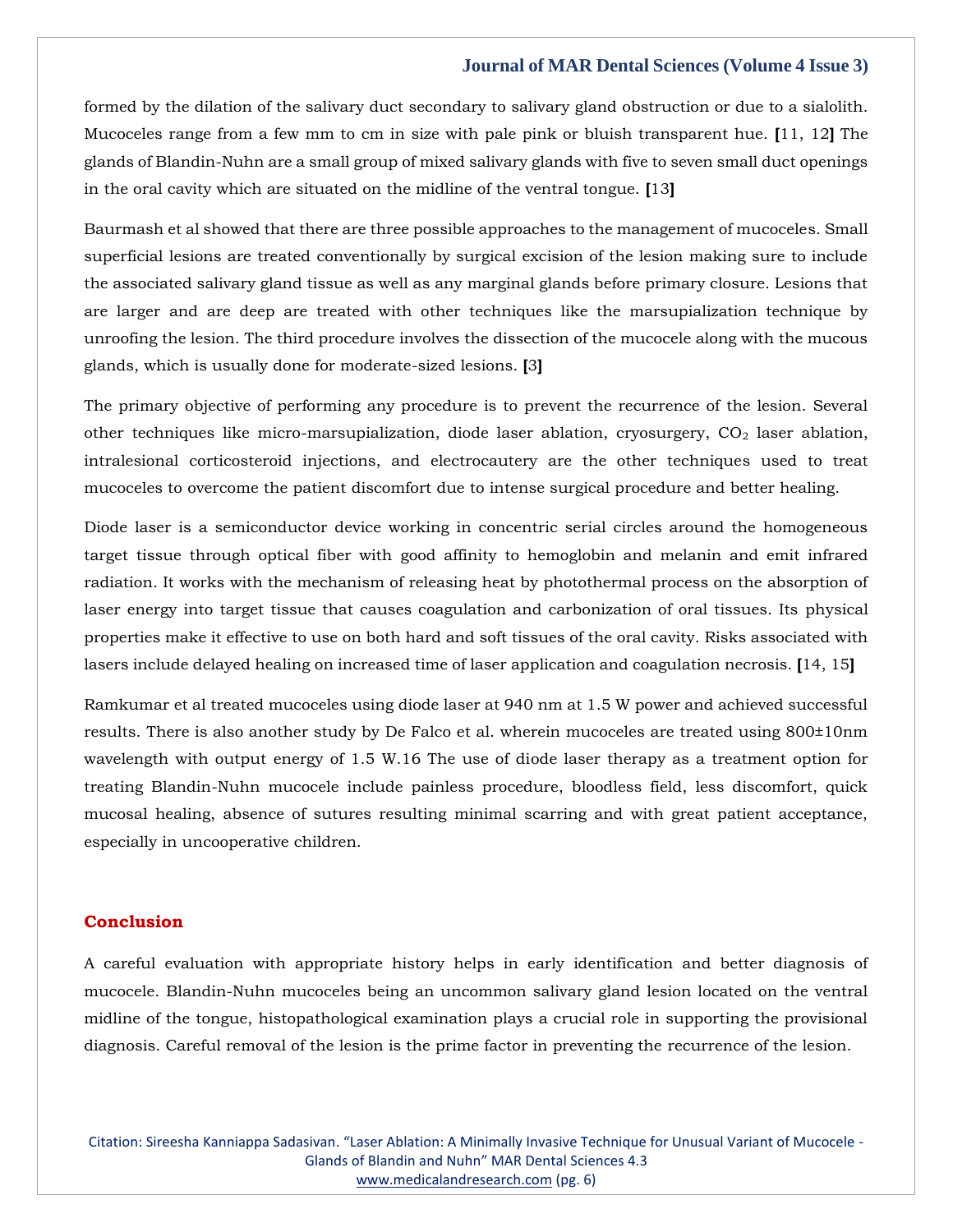formed by the dilation of the salivary duct secondary to salivary gland obstruction or due to a sialolith. Mucoceles range from a few mm to cm in size with pale pink or bluish transparent hue. **[**11, 12**]** The glands of Blandin-Nuhn are a small group of mixed salivary glands with five to seven small duct openings in the oral cavity which are situated on the midline of the ventral tongue. **[**13**]**

Baurmash et al showed that there are three possible approaches to the management of mucoceles. Small superficial lesions are treated conventionally by surgical excision of the lesion making sure to include the associated salivary gland tissue as well as any marginal glands before primary closure. Lesions that are larger and are deep are treated with other techniques like the marsupialization technique by unroofing the lesion. The third procedure involves the dissection of the mucocele along with the mucous glands, which is usually done for moderate-sized lesions. **[**3**]**

The primary objective of performing any procedure is to prevent the recurrence of the lesion. Several other techniques like micro-marsupialization, diode laser ablation, cryosurgery,  $CO<sub>2</sub>$  laser ablation, intralesional corticosteroid injections, and electrocautery are the other techniques used to treat mucoceles to overcome the patient discomfort due to intense surgical procedure and better healing.

Diode laser is a semiconductor device working in concentric serial circles around the homogeneous target tissue through optical fiber with good affinity to hemoglobin and melanin and emit infrared radiation. It works with the mechanism of releasing heat by photothermal process on the absorption of laser energy into target tissue that causes coagulation and carbonization of oral tissues. Its physical properties make it effective to use on both hard and soft tissues of the oral cavity. Risks associated with lasers include delayed healing on increased time of laser application and coagulation necrosis. **[**14, 15**]**

Ramkumar et al treated mucoceles using diode laser at 940 nm at 1.5 W power and achieved successful results. There is also another study by De Falco et al. wherein mucoceles are treated using 800±10nm wavelength with output energy of 1.5 W.16 The use of diode laser therapy as a treatment option for treating Blandin-Nuhn mucocele include painless procedure, bloodless field, less discomfort, quick mucosal healing, absence of sutures resulting minimal scarring and with great patient acceptance, especially in uncooperative children.

#### **Conclusion**

A careful evaluation with appropriate history helps in early identification and better diagnosis of mucocele. Blandin-Nuhn mucoceles being an uncommon salivary gland lesion located on the ventral midline of the tongue, histopathological examination plays a crucial role in supporting the provisional diagnosis. Careful removal of the lesion is the prime factor in preventing the recurrence of the lesion.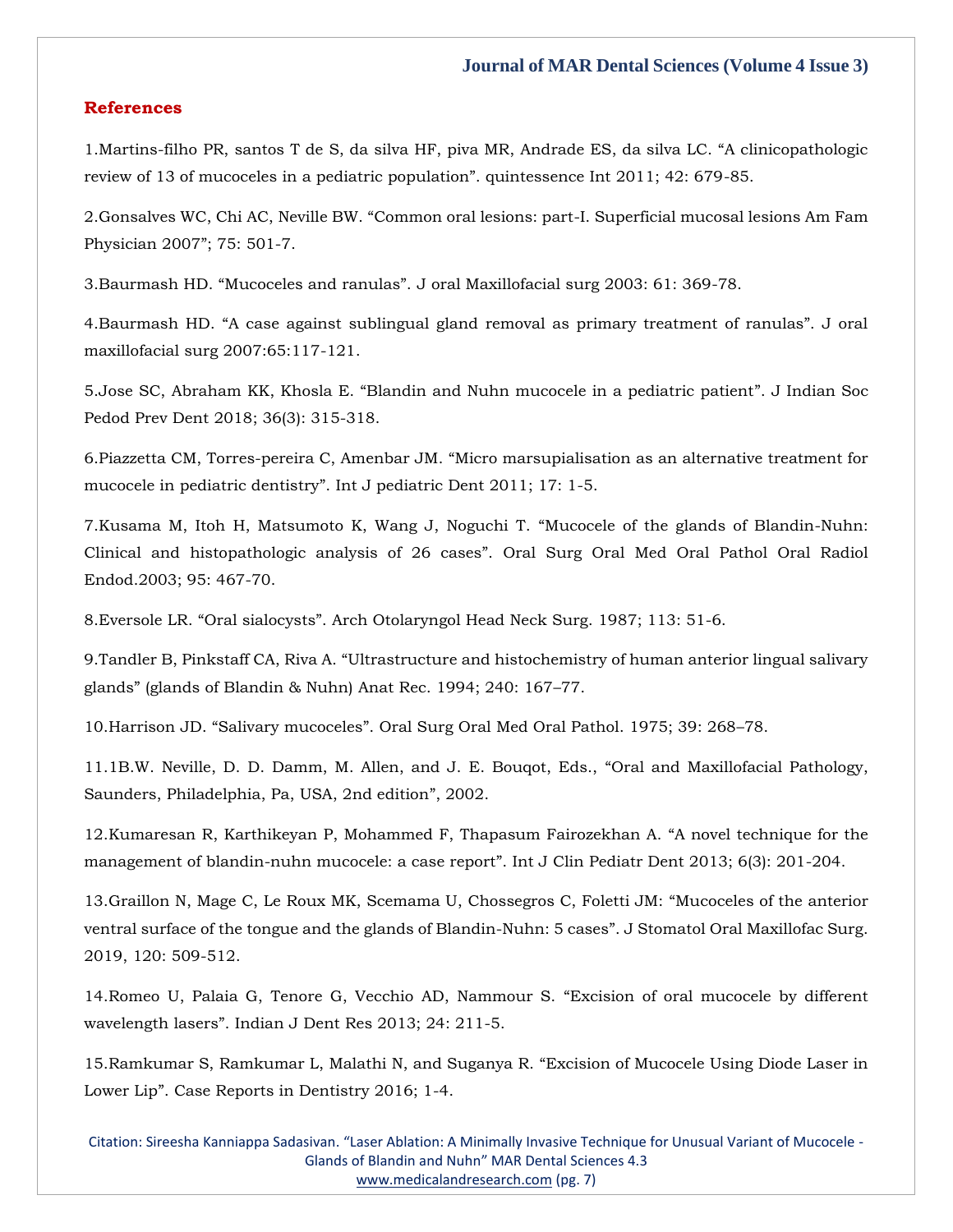#### **References**

1.Martins-filh[o PR, santos T de S, da silva HF, piva MR, Andrade ES, da silva LC. "A clinicopathologic](https://www.google.com/search?q=A+clinicopathologic+review+of+13+of+mucoceles+in+a+pediatric+population&oq=A+clinicopathologic+review+of+13+of+mucoceles+in+a+pediatric+population&aqs=chrome..69i57.410j0j7&sourceid=chrome&ie=UTF-8)  [review of 13 of mucoceles in a pediatric population". quintessence Int 2011; 42: 679](https://www.google.com/search?q=A+clinicopathologic+review+of+13+of+mucoceles+in+a+pediatric+population&oq=A+clinicopathologic+review+of+13+of+mucoceles+in+a+pediatric+population&aqs=chrome..69i57.410j0j7&sourceid=chrome&ie=UTF-8)-85.

2.[Gonsalves WC, Chi AC, Neville BW. "Common oral lesions: part](https://www.google.com/search?q=Common+oral+lesions%3A+part-I.+Superficial+mucosal+lesions+Am+Fam+Physician+2007&sxsrf=AOaemvKN-OSVblNq_crWytms6B6w1fZfcg%3A1640271084118&ei=7IzEYdbLBpbf2roPopifsAs&ved=0ahUKEwjW8bb6lfr0AhWWr1YBHSLMB7YQ4dUDCA4&uact=5&oq=Common+oral+lesions%3A+part-I.+Superficial+mucosal+lesions+Am+Fam+Physician+2007&gs_lcp=Cgdnd3Mtd2l6EAM6BwgjEOoCECdKBAhBGABKBAhGGABQqgVYqgVgzwdoAXACeACAAYUCiAGFApIBAzItMZgBAKABAaABArABCsABAQ&sclient=gws-wiz)-I. Superficial mucosal lesions Am Fam [Physician 2007](https://www.google.com/search?q=Common+oral+lesions%3A+part-I.+Superficial+mucosal+lesions+Am+Fam+Physician+2007&sxsrf=AOaemvKN-OSVblNq_crWytms6B6w1fZfcg%3A1640271084118&ei=7IzEYdbLBpbf2roPopifsAs&ved=0ahUKEwjW8bb6lfr0AhWWr1YBHSLMB7YQ4dUDCA4&uact=5&oq=Common+oral+lesions%3A+part-I.+Superficial+mucosal+lesions+Am+Fam+Physician+2007&gs_lcp=Cgdnd3Mtd2l6EAM6BwgjEOoCECdKBAhBGABKBAhGGABQqgVYqgVgzwdoAXACeACAAYUCiAGFApIBAzItMZgBAKABAaABArABCsABAQ&sclient=gws-wiz)"; 75: 501-7.

3.Baurmash HD. "Mucoceles and ranulas". [J oral Maxillofacial surg 2003: 61: 369-78.](https://www.google.com/search?q=Mucoceles+and+ranulas&sxsrf=AOaemvKqllCNU-OgJ60ql1EI_lwYySo_HQ%3A1640271188903&ei=VI3EYYfKNeOk2roPqNiasAs&ved=0ahUKEwiHxLGslvr0AhVjklYBHSisBrYQ4dUDCA4&uact=5&oq=Mucoceles+and+ranulas&gs_lcp=Cgdnd3Mtd2l6EAMyBwgjEOoCECcyBwgjEOoCECcyBwgjEOoCECcyBwgjEOoCECcyBwgjEOoCECcyBwgjEOoCECcyBwgjEOoCECcyBwgjEOoCECcyBwgjEOoCECcyBwgjEOoCECdKBAhBGABKBAhGGABQvAVYvAVg0wdoAXACeACAAQCIAQCSAQCYAQCgAQGgAQKwAQrAAQE&sclient=gws-wiz)

4.[Baurmash HD. "A case against sublingual gland removal as primary treatment of ranulas". J oral](https://www.google.com/search?q=A+case+against+sublingual+gland+removal+as+primary+treatment+of+ranulas&sxsrf=AOaemvJHuNMLFD4PSdcMyhx0F7f8bSPVUQ%3A1640271219955&ei=c43EYeC8OZCp2roPqbiOsAs&ved=0ahUKEwigwpm7lvr0AhWQlFYBHSmcA7YQ4dUDCA4&uact=5&oq=A+case+against+sublingual+gland+removal+as+primary+treatment+of+ranulas&gs_lcp=Cgdnd3Mtd2l6EAMyBwgjEOoCECcyBwgjEOoCECcyBwgjEOoCECcyBwgjEOoCECcyBwgjEOoCECcyBwgjEOoCECcyBwgjEOoCECcyBwgjEOoCECcyBwgjEOoCECcyBwgjEOoCECdKBAhBGABKBAhGGABQqwVYqwVgjAdoAXACeACAAQCIAQCSAQCYAQCgAQGgAQKwAQrAAQE&sclient=gws-wiz)  [maxillofacial surg 2007:65:117-121.](https://www.google.com/search?q=A+case+against+sublingual+gland+removal+as+primary+treatment+of+ranulas&sxsrf=AOaemvJHuNMLFD4PSdcMyhx0F7f8bSPVUQ%3A1640271219955&ei=c43EYeC8OZCp2roPqbiOsAs&ved=0ahUKEwigwpm7lvr0AhWQlFYBHSmcA7YQ4dUDCA4&uact=5&oq=A+case+against+sublingual+gland+removal+as+primary+treatment+of+ranulas&gs_lcp=Cgdnd3Mtd2l6EAMyBwgjEOoCECcyBwgjEOoCECcyBwgjEOoCECcyBwgjEOoCECcyBwgjEOoCECcyBwgjEOoCECcyBwgjEOoCECcyBwgjEOoCECcyBwgjEOoCECcyBwgjEOoCECdKBAhBGABKBAhGGABQqwVYqwVgjAdoAXACeACAAQCIAQCSAQCYAQCgAQGgAQKwAQrAAQE&sclient=gws-wiz)

5.[Jose SC, Abraham KK, Khosla E. "Blandin and Nuhn mucocele in a pediatric patient"](https://www.google.com/search?q=Blandin+and+Nuhn+mucocele+in+a+pediatric+patient&sxsrf=AOaemvLuCZj8tfSa9jgZz38Jbi1CKo89CA%3A1640271235721&ei=g43EYcOZK5iP2roP88imsAs&ved=0ahUKEwiD59vClvr0AhWYh1YBHXOkCbYQ4dUDCA4&uact=5&oq=Blandin+and+Nuhn+mucocele+in+a+pediatric+patient&gs_lcp=Cgdnd3Mtd2l6EAMyBggAEBYQHjoHCCMQ6gIQJ0oECEEYAEoECEYYAFC8BFi8BGDaBmgBcAJ4AIABhQKIAYUCkgEDMi0xmAEAoAEBoAECsAEKwAEB&sclient=gws-wiz). J Indian Soc [Pedod Prev Dent 2018; 36\(3\): 315-318.](https://www.google.com/search?q=Blandin+and+Nuhn+mucocele+in+a+pediatric+patient&sxsrf=AOaemvLuCZj8tfSa9jgZz38Jbi1CKo89CA%3A1640271235721&ei=g43EYcOZK5iP2roP88imsAs&ved=0ahUKEwiD59vClvr0AhWYh1YBHXOkCbYQ4dUDCA4&uact=5&oq=Blandin+and+Nuhn+mucocele+in+a+pediatric+patient&gs_lcp=Cgdnd3Mtd2l6EAMyBggAEBYQHjoHCCMQ6gIQJ0oECEEYAEoECEYYAFC8BFi8BGDaBmgBcAJ4AIABhQKIAYUCkgEDMi0xmAEAoAEBoAECsAEKwAEB&sclient=gws-wiz)

6.Piazzetta CM, Torres-pereira C, Amenbar JM. "[Micro marsupialisation as an alternative treatment for](https://www.google.com/search?q=Micro+marsupialisation+as+an+alternative+treatment+for+mucocele+in+pediatric+dentistry&sxsrf=AOaemvKH4G9cM0cgORosK6v1oVFRICHUHA%3A1640271252429&ei=lI3EYcPLGd7e2roPkZykqAs&ved=0ahUKEwjD5dfKlvr0AhVer1YBHREOCbUQ4dUDCA4&uact=5&oq=Micro+marsupialisation+as+an+alternative+treatment+for+mucocele+in+pediatric+dentistry&gs_lcp=Cgdnd3Mtd2l6EAM6BwgjEOoCECdKBAhBGABKBAhGGABQpQVYpQVg7QdoAXAAeACAAZ8CiAGfApIBAzItMZgBAKABAaABArABCsABAQ&sclient=gws-wiz)  mucocele in pediatric dentistry"[. Int J pediatric Dent 2011; 17: 1-5.](https://www.google.com/search?q=Micro+marsupialisation+as+an+alternative+treatment+for+mucocele+in+pediatric+dentistry&sxsrf=AOaemvKH4G9cM0cgORosK6v1oVFRICHUHA%3A1640271252429&ei=lI3EYcPLGd7e2roPkZykqAs&ved=0ahUKEwjD5dfKlvr0AhVer1YBHREOCbUQ4dUDCA4&uact=5&oq=Micro+marsupialisation+as+an+alternative+treatment+for+mucocele+in+pediatric+dentistry&gs_lcp=Cgdnd3Mtd2l6EAM6BwgjEOoCECdKBAhBGABKBAhGGABQpQVYpQVg7QdoAXAAeACAAZ8CiAGfApIBAzItMZgBAKABAaABArABCsABAQ&sclient=gws-wiz)

7[.Kusama M, Itoh H, Matsumoto K, Wang J, Noguchi T.](https://www.google.com/search?q=Mucocele+of+the+glands+of+Blandin-Nuhn%3A+Clinical+and+histopathologic+analysis+of+26+cases&sxsrf=AOaemvIK9dEdTv-1zQi9i0h32ln_d88kZg%3A1640271268578&ei=pI3EYcfEIrzb2roPp-GCsAs&ved=0ahUKEwjHprHSlvr0AhW8rVYBHaewALYQ4dUDCA4&uact=5&oq=Mucocele+of+the+glands+of+Blandin-Nuhn%3A+Clinical+and+histopathologic+analysis+of+26+cases&gs_lcp=Cgdnd3Mtd2l6EAM6BwgjEOoCECdKBAhBGABKBAhGGABQxQVYxQVgkAhoAXABeACAAf0BiAH9AZIBAzItMZgBAKABAaABArABCsABAQ&sclient=gws-wiz) "Mucocele of the glands of Blandin-Nuhn: [Clinical and histopathologic analysis of 26 cases](https://www.google.com/search?q=Mucocele+of+the+glands+of+Blandin-Nuhn%3A+Clinical+and+histopathologic+analysis+of+26+cases&sxsrf=AOaemvIK9dEdTv-1zQi9i0h32ln_d88kZg%3A1640271268578&ei=pI3EYcfEIrzb2roPp-GCsAs&ved=0ahUKEwjHprHSlvr0AhW8rVYBHaewALYQ4dUDCA4&uact=5&oq=Mucocele+of+the+glands+of+Blandin-Nuhn%3A+Clinical+and+histopathologic+analysis+of+26+cases&gs_lcp=Cgdnd3Mtd2l6EAM6BwgjEOoCECdKBAhBGABKBAhGGABQxQVYxQVgkAhoAXABeACAAf0BiAH9AZIBAzItMZgBAKABAaABArABCsABAQ&sclient=gws-wiz)". Oral Surg Oral Med Oral Pathol Oral Radiol [Endod.2003; 95: 467-70.](https://www.google.com/search?q=Mucocele+of+the+glands+of+Blandin-Nuhn%3A+Clinical+and+histopathologic+analysis+of+26+cases&sxsrf=AOaemvIK9dEdTv-1zQi9i0h32ln_d88kZg%3A1640271268578&ei=pI3EYcfEIrzb2roPp-GCsAs&ved=0ahUKEwjHprHSlvr0AhW8rVYBHaewALYQ4dUDCA4&uact=5&oq=Mucocele+of+the+glands+of+Blandin-Nuhn%3A+Clinical+and+histopathologic+analysis+of+26+cases&gs_lcp=Cgdnd3Mtd2l6EAM6BwgjEOoCECdKBAhBGABKBAhGGABQxQVYxQVgkAhoAXABeACAAf0BiAH9AZIBAzItMZgBAKABAaABArABCsABAQ&sclient=gws-wiz)

8.Eversole LR. "Oral sialocysts"[. Arch Otolaryngol Head Neck Surg. 1987; 113: 51-6.](https://www.google.com/search?q=Oral+sialocysts&sxsrf=AOaemvJiaWwGrh8Bhww_GqyM3xjBy9ArPw%3A1640271287046&ei=t43EYYL6AfPd2roPsJqQsAs&ved=0ahUKEwjCsZjblvr0AhXzrlYBHTANBLYQ4dUDCA4&uact=5&oq=Oral+sialocysts&gs_lcp=Cgdnd3Mtd2l6EAMyBwgjEOoCECcyBwgjEOoCECcyBwgjEOoCECcyBwgjEOoCECcyBwgjEOoCECcyBwgjEOoCECcyBwgjEOoCECcyBwgjEOoCECcyBwgjEOoCECcyBwgjEOoCECdKBAhBGABKBAhGGABQogVYogVgywdoAXAAeACAAQCIAQCSAQCYAQCgAQGgAQKwAQrAAQE&sclient=gws-wiz)

9.Tandler B, Pinkstaff CA, Riva A. "[Ultrastructure and histochemistry of human anterior lingual salivary](https://www.google.com/search?q=Ultrastructure+and+histochemistry+of+human+anterior+lingual+salivary+glands&sxsrf=AOaemvLPsQ_TnZE4h6o2K1GDkT5p3BwvxA%3A1640271308895&ei=zI3EYezqNdPj2roP-P-psAs&ved=0ahUKEwjsgM7llvr0AhXTsVYBHfh_CrYQ4dUDCA4&uact=5&oq=Ultrastructure+and+histochemistry+of+human+anterior+lingual+salivary+glands&gs_lcp=Cgdnd3Mtd2l6EAMyBwgjEOoCECcyBwgjEOoCECcyBwgjEOoCECcyBwgjEOoCECcyBwgjEOoCECcyBwgjEOoCECcyBwgjEOoCECcyBwgjEOoCECcyBwgjEOoCECcyBwgjEOoCECdKBAhBGABKBAhGGABQ1AVY1AVg3AdoAXACeACAAQCIAQCSAQCYAQCgAQGgAQKwAQrAAQE&sclient=gws-wiz)  glands" [\(glands of Blandin & Nuhn\) Anat Rec. 1994; 240: 167](https://www.google.com/search?q=Ultrastructure+and+histochemistry+of+human+anterior+lingual+salivary+glands&sxsrf=AOaemvLPsQ_TnZE4h6o2K1GDkT5p3BwvxA%3A1640271308895&ei=zI3EYezqNdPj2roP-P-psAs&ved=0ahUKEwjsgM7llvr0AhXTsVYBHfh_CrYQ4dUDCA4&uact=5&oq=Ultrastructure+and+histochemistry+of+human+anterior+lingual+salivary+glands&gs_lcp=Cgdnd3Mtd2l6EAMyBwgjEOoCECcyBwgjEOoCECcyBwgjEOoCECcyBwgjEOoCECcyBwgjEOoCECcyBwgjEOoCECcyBwgjEOoCECcyBwgjEOoCECcyBwgjEOoCECcyBwgjEOoCECdKBAhBGABKBAhGGABQ1AVY1AVg3AdoAXACeACAAQCIAQCSAQCYAQCgAQGgAQKwAQrAAQE&sclient=gws-wiz)–77.

10.Harrison JD. "Salivary mucoceles"[. Oral Surg Oral Med Oral Pathol. 1975; 39: 268](https://www.google.com/search?q=Salivary+mucoceles&sxsrf=AOaemvKKaaRdKVno4L4pvCFvjfst7IG0_Q%3A1640271328016&ei=4I3EYbg_juTaug_JwoywCw&ved=0ahUKEwi4r93ulvr0AhUOslYBHUkhA7YQ4dUDCA4&uact=5&oq=Salivary+mucoceles&gs_lcp=Cgdnd3Mtd2l6EAMyBQgAEIAEMgUIABCABDIGCAAQFhAeMgYIABAWEB4yBggAEBYQHjIGCAAQFhAeMgYIABAWEB4yCAgAEBYQChAeOgcIIxDqAhAnSgQIQRgASgQIRhgAUKAFWKAFYLcHaAFwAHgAgAHsAYgB7AGSAQMyLTGYAQCgAQGgAQKwAQrAAQE&sclient=gws-wiz)–78.

11[.1B.W. Neville, D. D. Damm, M. Allen, and J. E. Bouqot, Eds.,](https://www.google.com/search?q=Oral+and+Maxillofacial+Pathology%2C+Saunders%2C+Philadelphia%2C+Pa%2C+USA%2C+2nd+edition&sxsrf=AOaemvIgNB4vh2EG1RPuouwefZozsR_cvw%3A1640271341408&ei=7Y3EYcGbGNDm2roPzb29sAs&ved=0ahUKEwiBxo71lvr0AhVQs1YBHc1eD7YQ4dUDCA4&uact=5&oq=Oral+and+Maxillofacial+Pathology%2C+Saunders%2C+Philadelphia%2C+Pa%2C+USA%2C+2nd+edition&gs_lcp=Cgdnd3Mtd2l6EAMyBwgjEOoCECcyBwgjEOoCECcyBwgjEOoCECcyBwgjEOoCECcyBwgjEOoCECcyBwgjEOoCECcyBwgjEOoCECcyBwgjEOoCECcyBwgjEOoCECcyBwgjEOoCECdKBAhBGABKBAhGGABQ1wVY1wVgsAdoAXACeACAAQCIAQCSAQCYAQCgAQGgAQKwAQrAAQE&sclient=gws-wiz) "Oral and Maxillofacial Pathology, [Saunders, Philadelphia, Pa, USA, 2nd edition](https://www.google.com/search?q=Oral+and+Maxillofacial+Pathology%2C+Saunders%2C+Philadelphia%2C+Pa%2C+USA%2C+2nd+edition&sxsrf=AOaemvIgNB4vh2EG1RPuouwefZozsR_cvw%3A1640271341408&ei=7Y3EYcGbGNDm2roPzb29sAs&ved=0ahUKEwiBxo71lvr0AhVQs1YBHc1eD7YQ4dUDCA4&uact=5&oq=Oral+and+Maxillofacial+Pathology%2C+Saunders%2C+Philadelphia%2C+Pa%2C+USA%2C+2nd+edition&gs_lcp=Cgdnd3Mtd2l6EAMyBwgjEOoCECcyBwgjEOoCECcyBwgjEOoCECcyBwgjEOoCECcyBwgjEOoCECcyBwgjEOoCECcyBwgjEOoCECcyBwgjEOoCECcyBwgjEOoCECcyBwgjEOoCECdKBAhBGABKBAhGGABQ1wVY1wVgsAdoAXACeACAAQCIAQCSAQCYAQCgAQGgAQKwAQrAAQE&sclient=gws-wiz)", 2002.

12[.Kumaresan R, Karthikeyan P, Mohammed F, Thapasum Fairozekhan A.](https://www.google.com/search?q=A+novel+technique+for+the+management+of+blandin-nuhn+mucocele%3A+a+case+report&sxsrf=AOaemvJvtYXgB0tPB6rQHfCEBMUVNNYcXA%3A1640271358692&ei=_o3EYaq-KfPh2roPquSRsAs&ved=0ahUKEwiqta39lvr0AhXzsFYBHSpyBLYQ4dUDCA4&uact=5&oq=A+novel+technique+for+the+management+of+blandin-nuhn+mucocele%3A+a+case+report&gs_lcp=Cgdnd3Mtd2l6EAMyBwgjEOoCECcyBwgjEOoCECcyBwgjEOoCECcyBwgjEOoCECcyBwgjEOoCECcyBwgjEOoCECcyBwgjEOoCECcyBwgjEOoCECcyBwgjEOoCECcyBwgjEOoCECdKBAhBGABKBAhGGABQjwVYjwVggwdoAXACeACAAQCIAQCSAQCYAQCgAQGgAQKwAQrAAQE&sclient=gws-wiz) "A novel technique for the [management of blandin-nuhn mucocele: a case report](https://www.google.com/search?q=A+novel+technique+for+the+management+of+blandin-nuhn+mucocele%3A+a+case+report&sxsrf=AOaemvJvtYXgB0tPB6rQHfCEBMUVNNYcXA%3A1640271358692&ei=_o3EYaq-KfPh2roPquSRsAs&ved=0ahUKEwiqta39lvr0AhXzsFYBHSpyBLYQ4dUDCA4&uact=5&oq=A+novel+technique+for+the+management+of+blandin-nuhn+mucocele%3A+a+case+report&gs_lcp=Cgdnd3Mtd2l6EAMyBwgjEOoCECcyBwgjEOoCECcyBwgjEOoCECcyBwgjEOoCECcyBwgjEOoCECcyBwgjEOoCECcyBwgjEOoCECcyBwgjEOoCECcyBwgjEOoCECcyBwgjEOoCECdKBAhBGABKBAhGGABQjwVYjwVggwdoAXACeACAAQCIAQCSAQCYAQCgAQGgAQKwAQrAAQE&sclient=gws-wiz)". Int J Clin Pediatr Dent 2013; 6(3): 201-204.

13[.Graillon N, Mage C, Le Roux MK, Scemama U, Chossegros C, Foletti JM:](https://www.google.com/search?q=%E2%80%9CMucoceles+of+the+anterior+ventral+surface+of+the+tongue+and+the+glands+of+Blandin-Nuhn%3A+5+cases&sxsrf=AOaemvIOy4qojxTamiNbqS2dFmFElif5LQ%3A1640271374652&ei=Do7EYcWWJ-jd2roPycqrsAs&ved=0ahUKEwjF1fuEl_r0AhXorlYBHUnlCrYQ4dUDCA4&uact=5&oq=%E2%80%9CMucoceles+of+the+anterior+ventral+surface+of+the+tongue+and+the+glands+of+Blandin-Nuhn%3A+5+cases&gs_lcp=Cgdnd3Mtd2l6EAM6BwgjEOoCECdKBAhBGABKBAhGGABQggZYggZgrwhoAXAAeACAAYACiAGAApIBAzItMZgBAKABAaABArABCsABAQ&sclient=gws-wiz) "Mucoceles of the anterior [ventral surface of the tongue and the glands of Blandin-Nuhn: 5 cases](https://www.google.com/search?q=%E2%80%9CMucoceles+of+the+anterior+ventral+surface+of+the+tongue+and+the+glands+of+Blandin-Nuhn%3A+5+cases&sxsrf=AOaemvIOy4qojxTamiNbqS2dFmFElif5LQ%3A1640271374652&ei=Do7EYcWWJ-jd2roPycqrsAs&ved=0ahUKEwjF1fuEl_r0AhXorlYBHUnlCrYQ4dUDCA4&uact=5&oq=%E2%80%9CMucoceles+of+the+anterior+ventral+surface+of+the+tongue+and+the+glands+of+Blandin-Nuhn%3A+5+cases&gs_lcp=Cgdnd3Mtd2l6EAM6BwgjEOoCECdKBAhBGABKBAhGGABQggZYggZgrwhoAXAAeACAAYACiAGAApIBAzItMZgBAKABAaABArABCsABAQ&sclient=gws-wiz)". J Stomatol Oral Maxillofac Surg. [2019, 120: 509-512.](https://www.google.com/search?q=%E2%80%9CMucoceles+of+the+anterior+ventral+surface+of+the+tongue+and+the+glands+of+Blandin-Nuhn%3A+5+cases&sxsrf=AOaemvIOy4qojxTamiNbqS2dFmFElif5LQ%3A1640271374652&ei=Do7EYcWWJ-jd2roPycqrsAs&ved=0ahUKEwjF1fuEl_r0AhXorlYBHUnlCrYQ4dUDCA4&uact=5&oq=%E2%80%9CMucoceles+of+the+anterior+ventral+surface+of+the+tongue+and+the+glands+of+Blandin-Nuhn%3A+5+cases&gs_lcp=Cgdnd3Mtd2l6EAM6BwgjEOoCECdKBAhBGABKBAhGGABQggZYggZgrwhoAXAAeACAAYACiAGAApIBAzItMZgBAKABAaABArABCsABAQ&sclient=gws-wiz)

14[.Romeo U, Palaia G, Tenore G, Vecchio AD, Nammour S.](https://www.google.com/search?q=Excision+of+oral+mucocele+by+different+wavelength+lasers&sxsrf=AOaemvINjGt_cOgTUhaTLa0XeNSAny6MSg%3A1640271391183&ei=H47EYdDGCsXR2roPrOWcsAs&ved=0ahUKEwiQ0uyMl_r0AhXFqFYBHawyB7YQ4dUDCA4&uact=5&oq=Excision+of+oral+mucocele+by+different+wavelength+lasers&gs_lcp=Cgdnd3Mtd2l6EAMyBwgjEOoCECcyBwgjEOoCECcyBwgjEOoCECcyBwgjEOoCECcyBwgjEOoCECcyBwgjEOoCECcyBwgjEOoCECcyBwgjEOoCECcyBwgjEOoCECcyBwgjEOoCECdKBAhBGABKBAhGGABQowJYowJghARoAXACeACAAQCIAQCSAQCYAQCgAQGgAQKwAQrAAQE&sclient=gws-wiz) "Excision of oral mucocele by different wavelength lasers"[. Indian J Dent Res 2013; 24: 211-5.](https://www.google.com/search?q=Excision+of+oral+mucocele+by+different+wavelength+lasers&sxsrf=AOaemvINjGt_cOgTUhaTLa0XeNSAny6MSg%3A1640271391183&ei=H47EYdDGCsXR2roPrOWcsAs&ved=0ahUKEwiQ0uyMl_r0AhXFqFYBHawyB7YQ4dUDCA4&uact=5&oq=Excision+of+oral+mucocele+by+different+wavelength+lasers&gs_lcp=Cgdnd3Mtd2l6EAMyBwgjEOoCECcyBwgjEOoCECcyBwgjEOoCECcyBwgjEOoCECcyBwgjEOoCECcyBwgjEOoCECcyBwgjEOoCECcyBwgjEOoCECcyBwgjEOoCECcyBwgjEOoCECdKBAhBGABKBAhGGABQowJYowJghARoAXACeACAAQCIAQCSAQCYAQCgAQGgAQKwAQrAAQE&sclient=gws-wiz)

15[.Ramkumar S, Ramkumar L, Malathi N, and Suganya R.](https://www.google.com/search?q=Excision+of+Mucocele+Using+Diode+Laser+in+Lower+Lip&sxsrf=AOaemvJ4tHvKIS_pA6oDZz9bEP4QurJUkw%3A1640271406537&ei=Lo7EYbbXH4ul2roPyL2TsAs&ved=0ahUKEwi2ppWUl_r0AhWLklYBHcjeBLYQ4dUDCA4&uact=5&oq=Excision+of+Mucocele+Using+Diode+Laser+in+Lower+Lip&gs_lcp=Cgdnd3Mtd2l6EAMyBwgjEOoCECcyBwgjEOoCECcyBwgjEOoCECcyBwgjEOoCECcyBwgjEOoCECcyBwgjEOoCECcyBwgjEOoCECcyBwgjEOoCECcyBwgjEOoCECcyBwgjEOoCECdKBAhBGABKBAhGGABQ7QVY7QVgjghoAXAAeACAAQCIAQCSAQCYAQCgAQGgAQKwAQrAAQE&sclient=gws-wiz) "Excision of Mucocele Using Diode Laser in Lower Lip"[. Case Reports in Dentistry 2016; 1-4.](https://www.google.com/search?q=Excision+of+Mucocele+Using+Diode+Laser+in+Lower+Lip&sxsrf=AOaemvJ4tHvKIS_pA6oDZz9bEP4QurJUkw%3A1640271406537&ei=Lo7EYbbXH4ul2roPyL2TsAs&ved=0ahUKEwi2ppWUl_r0AhWLklYBHcjeBLYQ4dUDCA4&uact=5&oq=Excision+of+Mucocele+Using+Diode+Laser+in+Lower+Lip&gs_lcp=Cgdnd3Mtd2l6EAMyBwgjEOoCECcyBwgjEOoCECcyBwgjEOoCECcyBwgjEOoCECcyBwgjEOoCECcyBwgjEOoCECcyBwgjEOoCECcyBwgjEOoCECcyBwgjEOoCECcyBwgjEOoCECdKBAhBGABKBAhGGABQ7QVY7QVgjghoAXAAeACAAQCIAQCSAQCYAQCgAQGgAQKwAQrAAQE&sclient=gws-wiz)

Citation: Sireesha Kanniappa Sadasivan. "Laser Ablation: A Minimally Invasive Technique for Unusual Variant of Mucocele - Glands of Blandin and Nuhn" MAR Dental Sciences 4.3 [www.medicalandresearch.com](http://www.medicalandresearch.com/) (pg. 7)